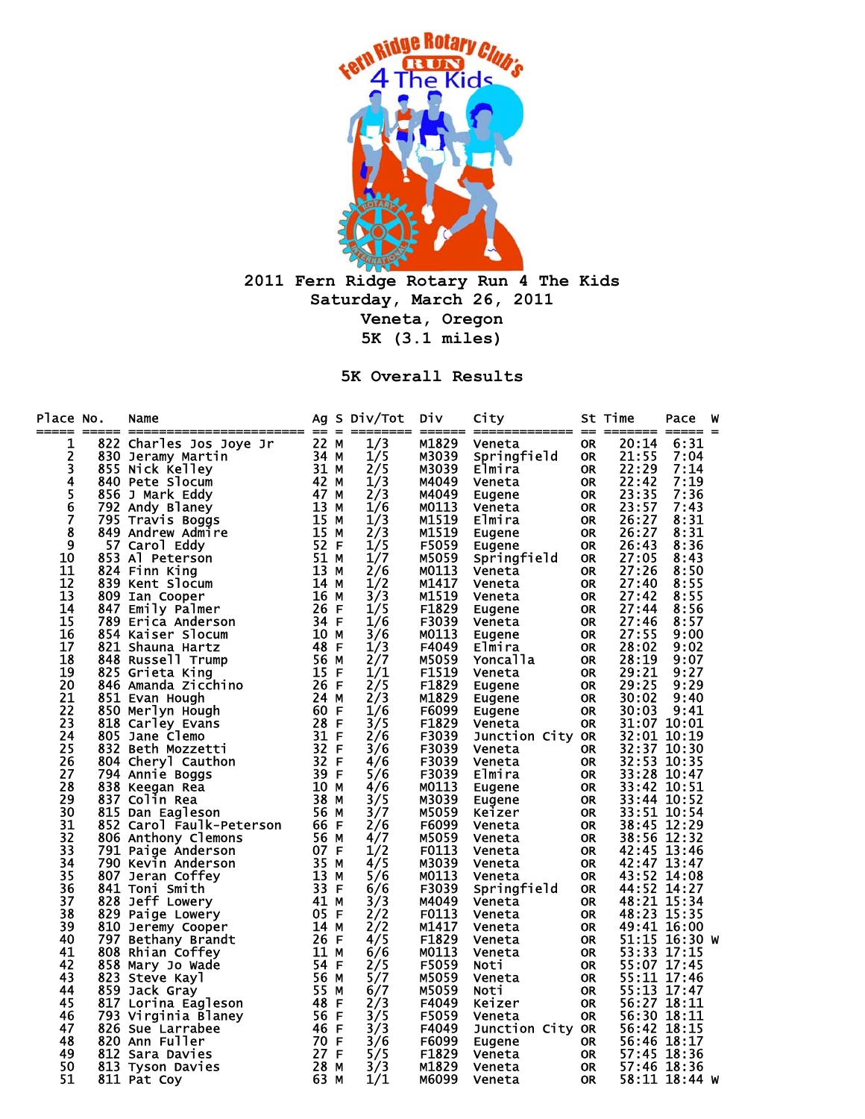

**2011 Fern Ridge Rotary Run 4 The Kids Saturday, March 26, 2011 Veneta, Oregon 5K (3.1 miles)** 

**5K Overall Results** 

| Place No.<br>===== | Name<br>o. Name 1922<br>Example Martin 34 MM Martin 34 MM MS SS Jeramy Martin 33 MM MATHIN 8456 Jeramy Martin 33 MM MATHIN 8456 J Mark Eddy 42 MM 42 MM 42 MM 42 MM 42 MM 42 MM 42 MM Andrew Admire 115 M F Travis Boggs<br>849 Andrew Adm |      | Ag S Div/Tot | <b>Div</b>     | City                  |                        | St Time        | Pace                       | W |
|--------------------|--------------------------------------------------------------------------------------------------------------------------------------------------------------------------------------------------------------------------------------------|------|--------------|----------------|-----------------------|------------------------|----------------|----------------------------|---|
| 1                  |                                                                                                                                                                                                                                            |      | 1/3          | M1829          | Veneta                | <b>OR</b>              | 20:14          | 6:31                       |   |
| 2                  |                                                                                                                                                                                                                                            |      | 1/5          | M3039          | Springfield           | <b>OR</b>              | 21:55          | 7:04                       |   |
| 3                  |                                                                                                                                                                                                                                            |      | 2/5          | M3039          | Elmira                | <b>OR</b>              | 22:29          | 7:14                       |   |
| 4                  |                                                                                                                                                                                                                                            |      | 1/3          | M4049          | Veneta                | <b>OR</b>              | 22:42          | 7:19                       |   |
| 5<br>6<br>7        |                                                                                                                                                                                                                                            |      | 2/3          | M4049          | Eugene                | <b>OR</b>              | 23:35          | 7:36                       |   |
|                    |                                                                                                                                                                                                                                            |      | 1/6          | M0113          | Veneta                | <b>OR</b>              | 23:57          | 7:43<br>8:31               |   |
| 8                  |                                                                                                                                                                                                                                            |      | 1/3<br>2/3   | M1519          | Elmira                | <b>OR</b>              | 26:27<br>26:27 | 8:31                       |   |
| 9                  |                                                                                                                                                                                                                                            |      | 1/5          | M1519<br>F5059 | Eugene                | <b>OR</b><br><b>OR</b> | 26:43          | 8:36                       |   |
| 10                 |                                                                                                                                                                                                                                            |      | 1/7          | M5059          | Eugene<br>Springfield | <b>OR</b>              | 27:05          | 8:43                       |   |
| 11                 |                                                                                                                                                                                                                                            |      | 2/6          | MO113          | Veneta                | <b>OR</b>              | 27:26          | 8:50                       |   |
| 12                 |                                                                                                                                                                                                                                            |      | 1/2          | M1417          | Veneta                | <b>OR</b>              | 27:40          | 8:55                       |   |
| 13                 |                                                                                                                                                                                                                                            |      | 3/3          | M1519          | Veneta                | <b>OR</b>              | 27:42          | 8:55                       |   |
| 14                 |                                                                                                                                                                                                                                            |      | 1/5          | F1829          | Eugene                | 0R                     | 27:44          | 8:56                       |   |
| 15                 |                                                                                                                                                                                                                                            |      | 1/6          | F3039          | Veneta                | <b>OR</b>              | 27:46          | 8:57                       |   |
| 16                 |                                                                                                                                                                                                                                            |      | 3/6          | M0113          | Eugene                | <b>OR</b>              | 27:55          | 9:00                       |   |
| 17                 |                                                                                                                                                                                                                                            |      | 1/3          | F4049          | Elmira                | <b>OR</b>              | 28:02          | 9:02                       |   |
| 18                 |                                                                                                                                                                                                                                            |      | 2/7          | M5059          | Yoncalla              | <b>OR</b>              | 28:19          | 9:07                       |   |
| 19                 |                                                                                                                                                                                                                                            |      | 1/1          | F1519          | Veneta                | 0R                     | 29:21          | 9:27                       |   |
| 20                 |                                                                                                                                                                                                                                            |      | 2/5          | F1829          | Eugene                | <b>OR</b>              | 29:25          | 9:29                       |   |
| 21                 |                                                                                                                                                                                                                                            |      | 2/3          | M1829          | Eugene                | <b>OR</b>              | 30:02          | 9:40                       |   |
| 22                 |                                                                                                                                                                                                                                            |      | 1/6          | F6099          | Eugene                | <b>OR</b>              | 30:03          | 9:41                       |   |
| 23                 |                                                                                                                                                                                                                                            |      | 3/5          | F1829          | Veneta                | <b>OR</b>              |                | 31:07 10:01                |   |
| 24                 |                                                                                                                                                                                                                                            |      | 2/6          | F3039          | Junction City OR      |                        |                | 32:01 10:19                |   |
| 25                 |                                                                                                                                                                                                                                            |      | 3/6          | F3039          | Veneta                | <b>OR</b>              |                | 32:37 10:30                |   |
| 26                 |                                                                                                                                                                                                                                            |      | 4/6          | F3039          | Veneta                | <b>OR</b>              |                | 32:53 10:35                |   |
| 27                 |                                                                                                                                                                                                                                            |      | 5/6          | F3039          | Elmira                | <b>OR</b>              |                | 33:28 10:47                |   |
| 28                 |                                                                                                                                                                                                                                            |      | 4/6          | M0113          | Eugene                | <b>OR</b>              |                | 33:42 10:51                |   |
| 29                 |                                                                                                                                                                                                                                            |      | 3/5          | M3039          | Eugene                | 0R                     |                | 33:44 10:52                |   |
| 30                 |                                                                                                                                                                                                                                            |      | 3/7          | M5059          | Keizer                | <b>OR</b>              |                | 33:51 10:54                |   |
| 31                 |                                                                                                                                                                                                                                            |      | 2/6          | F6099          | Veneta                | <b>OR</b>              |                | 38:45 12:29                |   |
| 32<br>33           |                                                                                                                                                                                                                                            |      | 4/7          | M5059          | Veneta                | <b>OR</b>              |                | 38:56 12:32                |   |
| 34                 |                                                                                                                                                                                                                                            |      | 1/2<br>4/5   | F0113<br>M3039 | Veneta                | <b>OR</b>              |                | 42:45 13:46<br>42:47 13:47 |   |
| 35                 |                                                                                                                                                                                                                                            |      | 5/6          | M0113          | Veneta                | <b>OR</b><br><b>OR</b> |                | 43:52 14:08                |   |
| 36                 |                                                                                                                                                                                                                                            |      | 6/6          | F3039          | Veneta<br>Springfield | <b>OR</b>              |                | 44:52 14:27                |   |
| 37                 |                                                                                                                                                                                                                                            |      | 3/3          | M4049          | Veneta                | <b>OR</b>              |                | 48:21 15:34                |   |
| 38                 |                                                                                                                                                                                                                                            |      | 2/2          | F0113          | Veneta                | <b>OR</b>              |                | 48:23 15:35                |   |
| 39                 |                                                                                                                                                                                                                                            |      | 2/2          | M1417          | Veneta                | 0R                     |                | 49:41 16:00                |   |
| 40                 |                                                                                                                                                                                                                                            |      | 4/5          | F1829          | Veneta                | <b>OR</b>              |                | 51:15 16:30 W              |   |
| 41                 |                                                                                                                                                                                                                                            |      | 6/6          | MO113          | Veneta                | <b>OR</b>              |                | 53:33 17:15                |   |
| 42                 |                                                                                                                                                                                                                                            |      | 2/5          | F5059          | Noti                  | <b>OR</b>              |                | 55:07 17:45                |   |
| 43                 |                                                                                                                                                                                                                                            |      | 5/7          | M5059          | Veneta                | <b>OR</b>              |                | 55:11 17:46                |   |
| 44                 |                                                                                                                                                                                                                                            |      | 6/7          | M5059          | Noti                  | <b>OR</b>              |                | 55:13 17:47                |   |
| 45                 |                                                                                                                                                                                                                                            |      | 2/3          | F4049          | Keizer                | <b>OR</b>              |                | 56:27 18:11                |   |
| 46                 |                                                                                                                                                                                                                                            |      | 3/5          | F5059          | Veneta                | <b>OR</b>              |                | 56:30 18:11                |   |
| 47                 |                                                                                                                                                                                                                                            |      | 3/3          | F4049          | Junction City OR      |                        |                | 56:42 18:15                |   |
| 48                 |                                                                                                                                                                                                                                            |      | 3/6          | F6099          | Eugene                | <b>OR</b>              |                | 56:46 18:17                |   |
| 49                 |                                                                                                                                                                                                                                            |      | 5/5          | F1829          | Veneta                | <b>OR</b>              |                | 57:45 18:36                |   |
| 50                 | 813 Tyson Davies                                                                                                                                                                                                                           | 28 M | 3/3          | M1829          | Veneta                | <b>OR</b>              |                | 57:46 18:36                |   |
| 51                 | 811 Pat Coy                                                                                                                                                                                                                                | 63 M | 1/1          | M6099          | Veneta                | <b>OR</b>              |                | 58:11 18:44 W              |   |